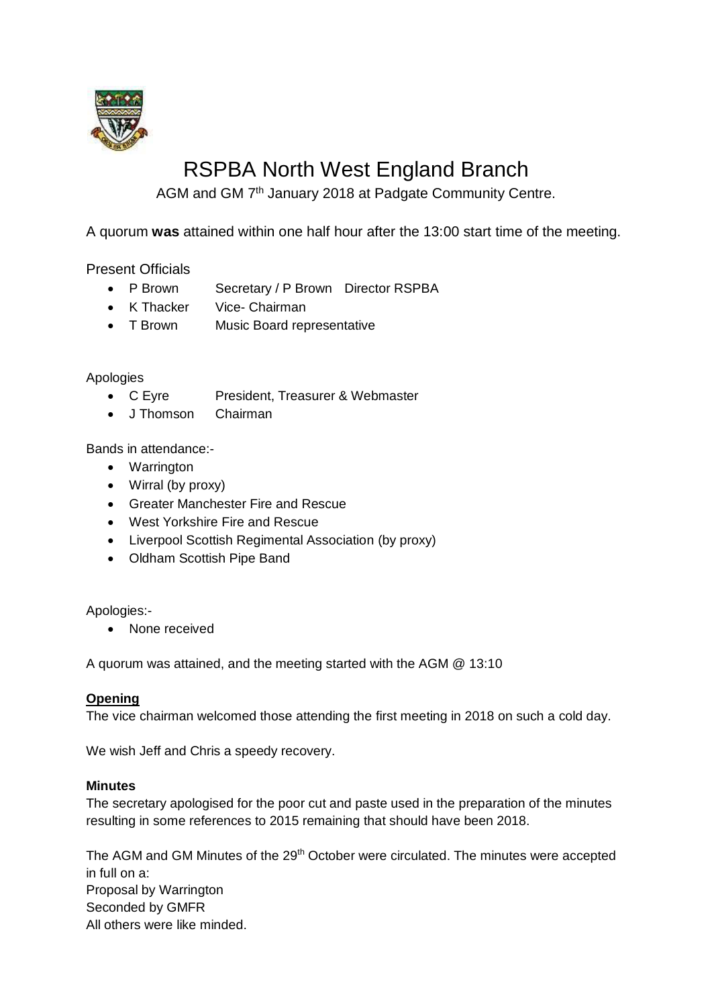

# RSPBA North West England Branch

AGM and GM 7<sup>th</sup> January 2018 at Padgate Community Centre.

A quorum **was** attained within one half hour after the 13:00 start time of the meeting.

Present Officials

- P Brown Secretary / P Brown Director RSPBA
- K Thacker Vice- Chairman
- T Brown Music Board representative

# Apologies

- C Eyre President, Treasurer & Webmaster
- J Thomson Chairman

Bands in attendance:-

- Warrington
- Wirral (by proxy)
- Greater Manchester Fire and Rescue
- West Yorkshire Fire and Rescue
- Liverpool Scottish Regimental Association (by proxy)
- Oldham Scottish Pipe Band

Apologies:-

• None received

A quorum was attained, and the meeting started with the AGM @ 13:10

### **Opening**

The vice chairman welcomed those attending the first meeting in 2018 on such a cold day.

We wish Jeff and Chris a speedy recovery.

### **Minutes**

The secretary apologised for the poor cut and paste used in the preparation of the minutes resulting in some references to 2015 remaining that should have been 2018.

The AGM and GM Minutes of the 29<sup>th</sup> October were circulated. The minutes were accepted in full on a: Proposal by Warrington Seconded by GMFR All others were like minded.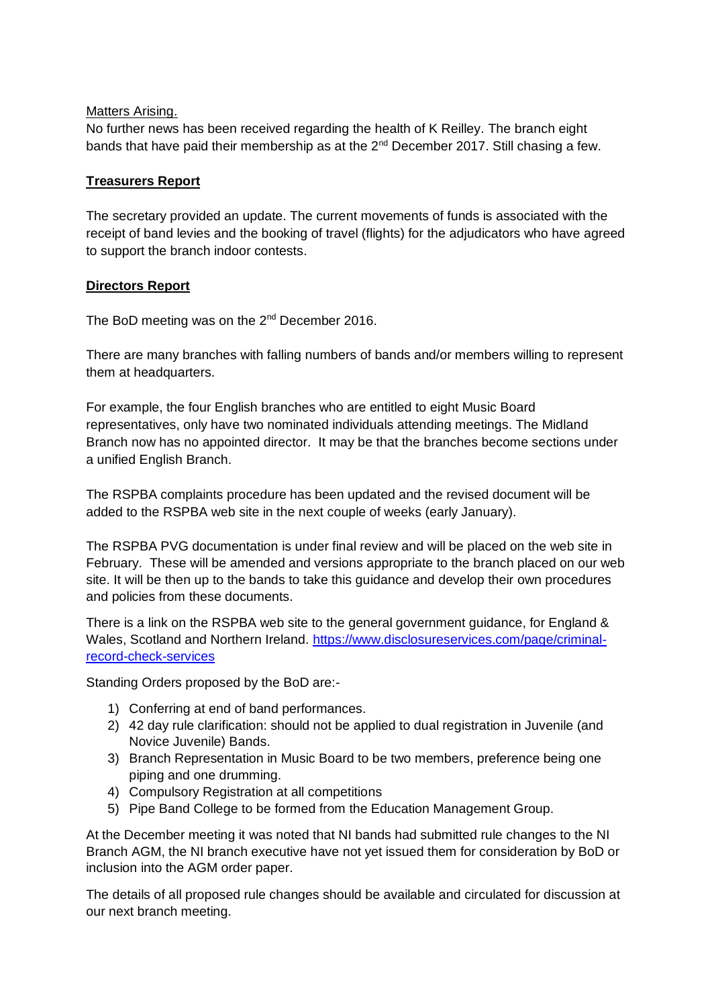#### Matters Arising.

No further news has been received regarding the health of K Reilley. The branch eight bands that have paid their membership as at the  $2^{nd}$  December 2017. Still chasing a few.

## **Treasurers Report**

The secretary provided an update. The current movements of funds is associated with the receipt of band levies and the booking of travel (flights) for the adjudicators who have agreed to support the branch indoor contests.

# **Directors Report**

The BoD meeting was on the 2<sup>nd</sup> December 2016.

There are many branches with falling numbers of bands and/or members willing to represent them at headquarters.

For example, the four English branches who are entitled to eight Music Board representatives, only have two nominated individuals attending meetings. The Midland Branch now has no appointed director. It may be that the branches become sections under a unified English Branch.

The RSPBA complaints procedure has been updated and the revised document will be added to the RSPBA web site in the next couple of weeks (early January).

The RSPBA PVG documentation is under final review and will be placed on the web site in February. These will be amended and versions appropriate to the branch placed on our web site. It will be then up to the bands to take this guidance and develop their own procedures and policies from these documents.

There is a link on the RSPBA web site to the general government guidance, for England & Wales, Scotland and Northern Ireland. [https://www.disclosureservices.com/page/criminal](https://www.disclosureservices.com/page/criminal-record-check-services)[record-check-services](https://www.disclosureservices.com/page/criminal-record-check-services)

Standing Orders proposed by the BoD are:-

- 1) Conferring at end of band performances.
- 2) 42 day rule clarification: should not be applied to dual registration in Juvenile (and Novice Juvenile) Bands.
- 3) Branch Representation in Music Board to be two members, preference being one piping and one drumming.
- 4) Compulsory Registration at all competitions
- 5) Pipe Band College to be formed from the Education Management Group.

At the December meeting it was noted that NI bands had submitted rule changes to the NI Branch AGM, the NI branch executive have not yet issued them for consideration by BoD or inclusion into the AGM order paper.

The details of all proposed rule changes should be available and circulated for discussion at our next branch meeting.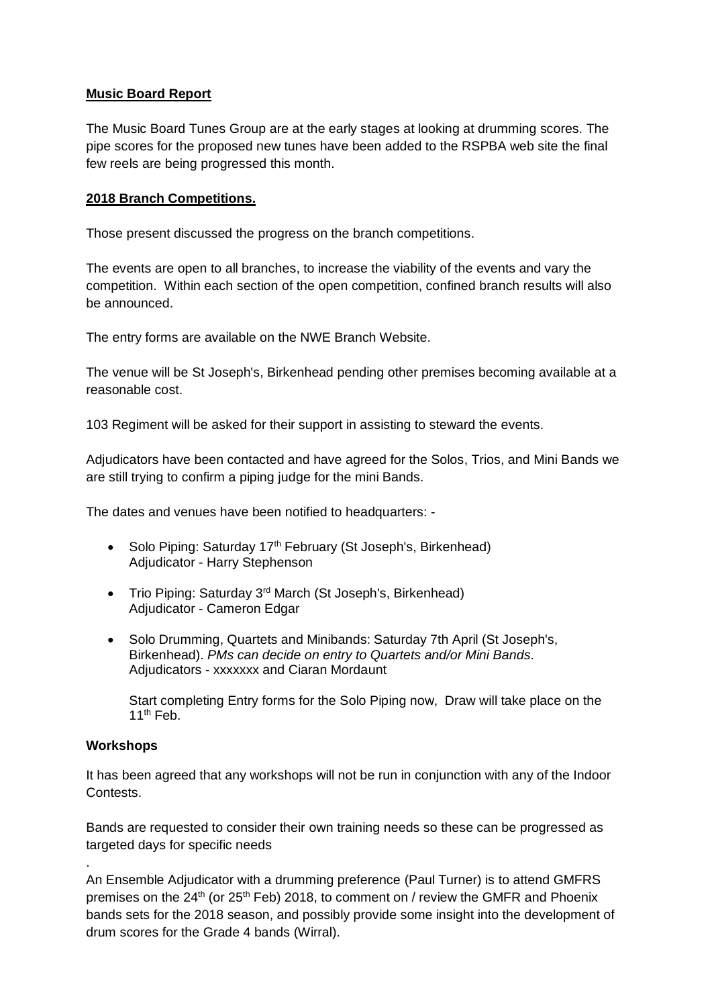## **Music Board Report**

The Music Board Tunes Group are at the early stages at looking at drumming scores. The pipe scores for the proposed new tunes have been added to the RSPBA web site the final few reels are being progressed this month.

# **2018 Branch Competitions.**

Those present discussed the progress on the branch competitions.

The events are open to all branches, to increase the viability of the events and vary the competition. Within each section of the open competition, confined branch results will also be announced.

The entry forms are available on the NWE Branch Website.

The venue will be St Joseph's, Birkenhead pending other premises becoming available at a reasonable cost.

103 Regiment will be asked for their support in assisting to steward the events.

Adjudicators have been contacted and have agreed for the Solos, Trios, and Mini Bands we are still trying to confirm a piping judge for the mini Bands.

The dates and venues have been notified to headquarters: -

- Solo Piping: Saturday 17<sup>th</sup> February (St Joseph's, Birkenhead) Adjudicator - Harry Stephenson
- Trio Piping: Saturday 3<sup>rd</sup> March (St Joseph's, Birkenhead) Adjudicator - Cameron Edgar
- Solo Drumming, Quartets and Minibands: Saturday 7th April (St Joseph's, Birkenhead). *PMs can decide on entry to Quartets and/or Mini Bands.* Adjudicators - xxxxxxx and Ciaran Mordaunt

Start completing Entry forms for the Solo Piping now, Draw will take place on the  $11<sup>th</sup>$  Feb.

### **Workshops**

.

It has been agreed that any workshops will not be run in conjunction with any of the Indoor Contests.

Bands are requested to consider their own training needs so these can be progressed as targeted days for specific needs

An Ensemble Adjudicator with a drumming preference (Paul Turner) is to attend GMFRS premises on the  $24<sup>th</sup>$  (or  $25<sup>th</sup>$  Feb) 2018, to comment on / review the GMFR and Phoenix bands sets for the 2018 season, and possibly provide some insight into the development of drum scores for the Grade 4 bands (Wirral).